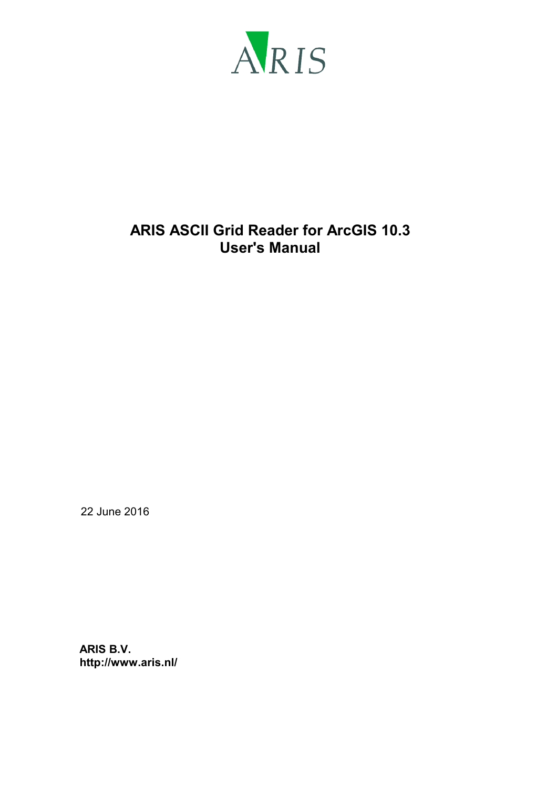

# **ARIS ASCII Grid Reader for ArcGIS 10.3 User's Manual**

22 June 2016

**ARIS B.V. http://www.aris.nl/**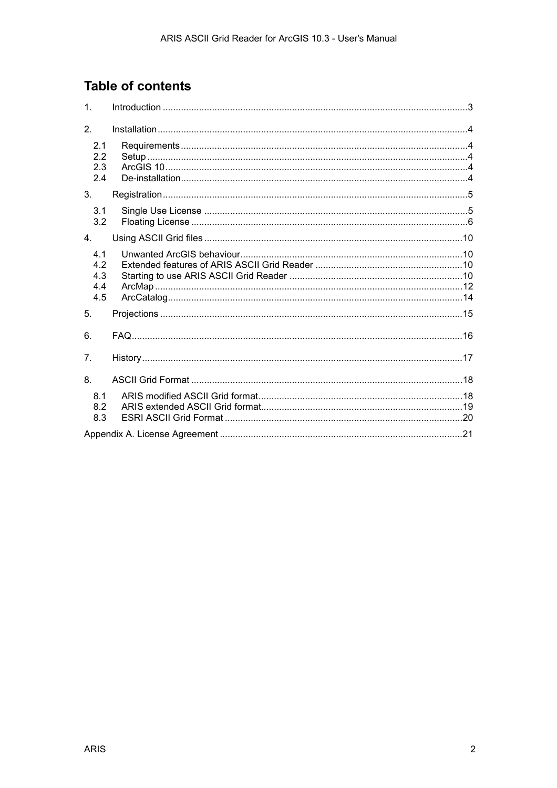# **Table of contents**

| 1.                              |  |
|---------------------------------|--|
| 2.                              |  |
| 2.1<br>2.2<br>2.3<br>2.4        |  |
| 3.                              |  |
| 3.1<br>3.2                      |  |
| $\overline{4}$ .                |  |
| 4.1<br>4.2<br>4.3<br>4.4<br>4.5 |  |
| 5.                              |  |
| 6.                              |  |
| 7 <sub>1</sub>                  |  |
| 8.                              |  |
| 8.1<br>8.2<br>8.3               |  |
|                                 |  |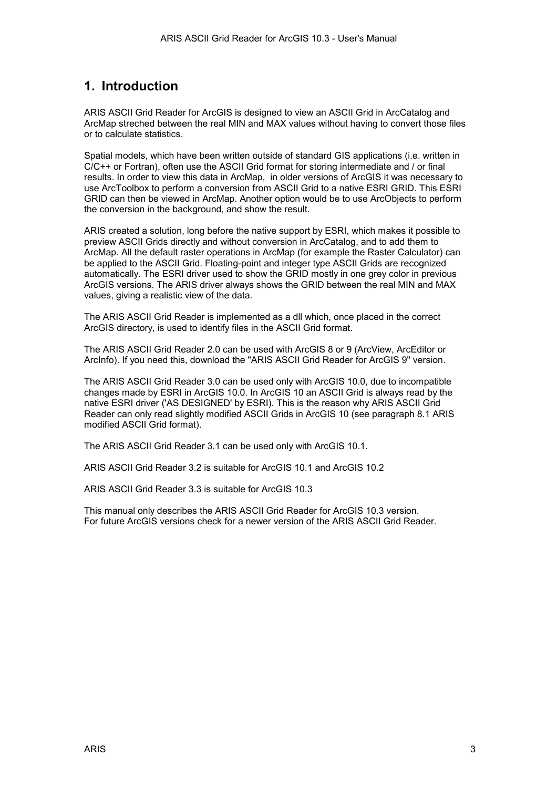### <span id="page-2-0"></span>**1. Introduction**

ARIS ASCII Grid Reader for ArcGIS is designed to view an ASCII Grid in ArcCatalog and ArcMap streched between the real MIN and MAX values without having to convert those files or to calculate statistics.

Spatial models, which have been written outside of standard GIS applications (i.e. written in C/C++ or Fortran), often use the ASCII Grid format for storing intermediate and / or final results. In order to view this data in ArcMap, in older versions of ArcGIS it was necessary to use ArcToolbox to perform a conversion from ASCII Grid to a native ESRI GRID. This ESRI GRID can then be viewed in ArcMap. Another option would be to use ArcObjects to perform the conversion in the background, and show the result.

ARIS created a solution, long before the native support by ESRI, which makes it possible to preview ASCII Grids directly and without conversion in ArcCatalog, and to add them to ArcMap. All the default raster operations in ArcMap (for example the Raster Calculator) can be applied to the ASCII Grid. Floating-point and integer type ASCII Grids are recognized automatically. The ESRI driver used to show the GRID mostly in one grey color in previous ArcGIS versions. The ARIS driver always shows the GRID between the real MIN and MAX values, giving a realistic view of the data.

The ARIS ASCII Grid Reader is implemented as a dll which, once placed in the correct ArcGIS directory, is used to identify files in the ASCII Grid format.

The ARIS ASCII Grid Reader 2.0 can be used with ArcGIS 8 or 9 (ArcView, ArcEditor or ArcInfo). If you need this, download the "ARIS ASCII Grid Reader for ArcGIS 9" version.

The ARIS ASCII Grid Reader 3.0 can be used only with ArcGIS 10.0, due to incompatible changes made by ESRI in ArcGIS 10.0. In ArcGIS 10 an ASCII Grid is always read by the native ESRI driver ('AS DESIGNED' by ESRI). This is the reason why ARIS ASCII Grid Reader can only read slightly modified ASCII Grids in ArcGIS 10 (see paragraph [8.1 ARIS](#page-17-0)  [modified ASCII Grid format\)](#page-17-0).

The ARIS ASCII Grid Reader 3.1 can be used only with ArcGIS 10.1.

ARIS ASCII Grid Reader 3.2 is suitable for ArcGIS 10.1 and ArcGIS 10.2

ARIS ASCII Grid Reader 3.3 is suitable for ArcGIS 10.3

This manual only describes the ARIS ASCII Grid Reader for ArcGIS 10.3 version. For future ArcGIS versions check for a newer version of the ARIS ASCII Grid Reader.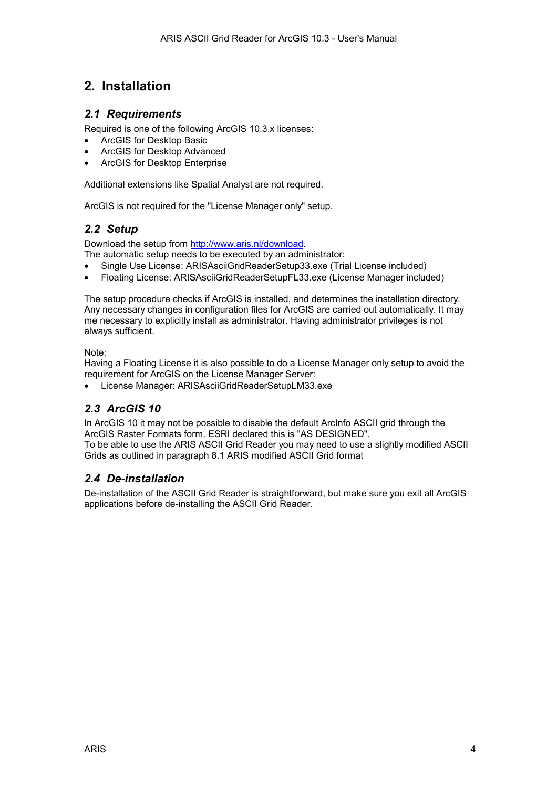# <span id="page-3-0"></span>**2. Installation**

#### *2.1 Requirements*

Required is one of the following ArcGIS 10.3.x licenses:

- ArcGIS for Desktop Basic
- ArcGIS for Desktop Advanced
- ArcGIS for Desktop Enterprise

Additional extensions like Spatial Analyst are not required.

ArcGIS is not required for the "License Manager only" setup.

### *2.2 Setup*

Download the setup from [http://www.aris.nl/download.](http://www.aris.nl/download) 

The automatic setup needs to be executed by an administrator:

- Single Use License: ARISAsciiGridReaderSetup33.exe (Trial License included)
- Floating License: ARISAsciiGridReaderSetupFL33.exe (License Manager included)

The setup procedure checks if ArcGIS is installed, and determines the installation directory. Any necessary changes in configuration files for ArcGIS are carried out automatically. It may me necessary to explicitly install as administrator. Having administrator privileges is not always sufficient.

Note:

Having a Floating License it is also possible to do a License Manager only setup to avoid the requirement for ArcGIS on the License Manager Server:

• License Manager: ARISAsciiGridReaderSetupLM33.exe

### *2.3 ArcGIS 10*

In ArcGIS 10 it may not be possible to disable the default ArcInfo ASCII grid through the ArcGIS Raster Formats form. ESRI declared this is "AS DESIGNED". To be able to use the ARIS ASCII Grid Reader you may need to use a slightly modified ASCII Grids as outlined in paragraph [8.1 ARIS modified ASCII Grid format](#page-17-0) 

### *2.4 De-installation*

De-installation of the ASCII Grid Reader is straightforward, but make sure you exit all ArcGIS applications before de-installing the ASCII Grid Reader.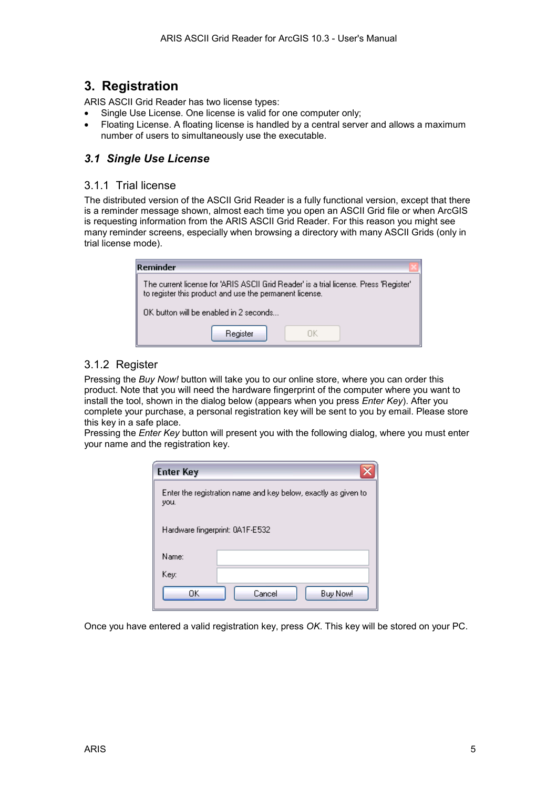## <span id="page-4-0"></span>**3. Registration**

ARIS ASCII Grid Reader has two license types:

- Single Use License. One license is valid for one computer only;
- Floating License. A floating license is handled by a central server and allows a maximum number of users to simultaneously use the executable.

### *3.1 Single Use License*

#### 3.1.1 Trial license

The distributed version of the ASCII Grid Reader is a fully functional version, except that there is a reminder message shown, almost each time you open an ASCII Grid file or when ArcGIS is requesting information from the ARIS ASCII Grid Reader. For this reason you might see many reminder screens, especially when browsing a directory with many ASCII Grids (only in trial license mode).

| Reminder                                                                                                                                         |  |  |  |
|--------------------------------------------------------------------------------------------------------------------------------------------------|--|--|--|
| The current license for 'ARIS ASCII Grid Reader' is a trial license. Press 'Register'<br>to register this product and use the permanent license. |  |  |  |
| $\n  0$ K button will be enabled in 2 seconds $\n  1$                                                                                            |  |  |  |
| Register                                                                                                                                         |  |  |  |

### 3.1.2 Register

Pressing the *Buy Now!* button will take you to our online store, where you can order this product. Note that you will need the hardware fingerprint of the computer where you want to install the tool, shown in the dialog below (appears when you press *Enter Key*). After you complete your purchase, a personal registration key will be sent to you by email. Please store this key in a safe place.

Pressing the *Enter Key* button will present you with the following dialog, where you must enter your name and the registration key.

| <b>Enter Key</b>                                                       |                    |  |  |
|------------------------------------------------------------------------|--------------------|--|--|
| Enter the registration name and key below, exactly as given to<br>you. |                    |  |  |
| Hardware fingerprint: 0A1F-E532                                        |                    |  |  |
| Name:                                                                  |                    |  |  |
| Key:                                                                   |                    |  |  |
| OΚ                                                                     | Cancel<br>Buy Now! |  |  |

Once you have entered a valid registration key, press *OK*. This key will be stored on your PC.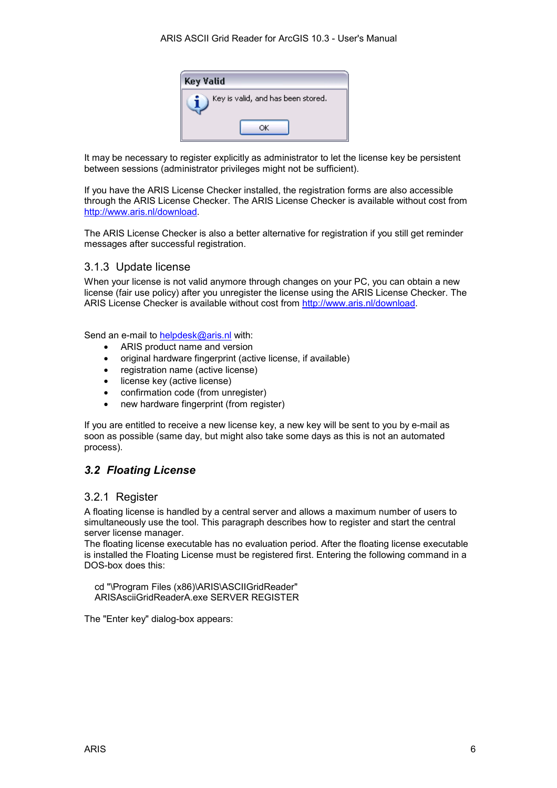

<span id="page-5-0"></span>It may be necessary to register explicitly as administrator to let the license key be persistent between sessions (administrator privileges might not be sufficient).

If you have the ARIS License Checker installed, the registration forms are also accessible through the ARIS License Checker. The ARIS License Checker is available without cost from [http://www.aris.nl/download.](http://www.aris.nl/download)

The ARIS License Checker is also a better alternative for registration if you still get reminder messages after successful registration.

#### 3.1.3 Update license

When your license is not valid anymore through changes on your PC, you can obtain a new license (fair use policy) after you unregister the license using the ARIS License Checker. The ARIS License Checker is available without cost from [http://www.aris.nl/download.](http://www.aris.nl/download) 

Send an e-mail to [helpdesk@aris.nl](mailto:helpdesk@aris.nl) with:

- ARIS product name and version
- original hardware fingerprint (active license, if available)
- registration name (active license)
- license key (active license)
- confirmation code (from unregister)
- new hardware fingerprint (from register)

If you are entitled to receive a new license key, a new key will be sent to you by e-mail as soon as possible (same day, but might also take some days as this is not an automated process).

### *3.2 Floating License*

#### 3.2.1 Register

A floating license is handled by a central server and allows a maximum number of users to simultaneously use the tool. This paragraph describes how to register and start the central server license manager.

The floating license executable has no evaluation period. After the floating license executable is installed the Floating License must be registered first. Entering the following command in a DOS-box does this:

 cd "\Program Files (x86)\ARIS\ASCIIGridReader" ARISAsciiGridReaderA.exe SERVER REGISTER

The "Enter key" dialog-box appears: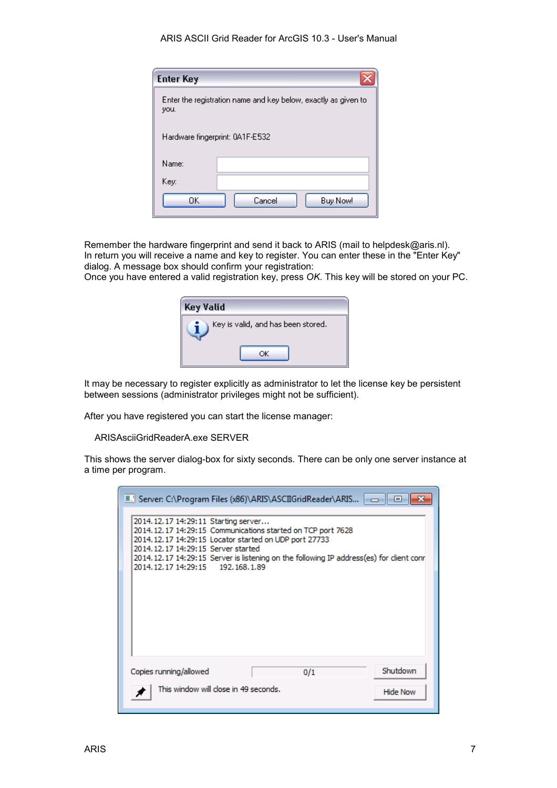#### ARIS ASCII Grid Reader for ArcGIS 10.3 - User's Manual

| <b>Enter Key</b>                                                       |                    |  |  |
|------------------------------------------------------------------------|--------------------|--|--|
| Enter the registration name and key below, exactly as given to<br>you. |                    |  |  |
| Hardware fingerprint: 0A1F-E532                                        |                    |  |  |
| Name:                                                                  |                    |  |  |
| Key:                                                                   |                    |  |  |
| OΚ                                                                     | Cancel<br>Buy Now! |  |  |

Remember the hardware fingerprint and send it back to ARIS (mail to helpdesk@aris.nl). In return you will receive a name and key to register. You can enter these in the "Enter Key" dialog. A message box should confirm your registration:

Once you have entered a valid registration key, press *OK*. This key will be stored on your PC.

| Key Valid                          |  |
|------------------------------------|--|
| Key is valid, and has been stored. |  |
|                                    |  |

It may be necessary to register explicitly as administrator to let the license key be persistent between sessions (administrator privileges might not be sufficient).

After you have registered you can start the license manager:

ARISAsciiGridReaderA.exe SERVER

This shows the server dialog-box for sixty seconds. There can be only one server instance at a time per program.

| ■ Server: C:\Program Files (x86)\ARIS\ASCIIGridReader\ARIS   - -   <br>$\Box$                                                                                                                                                                                                                                                            |
|------------------------------------------------------------------------------------------------------------------------------------------------------------------------------------------------------------------------------------------------------------------------------------------------------------------------------------------|
| 2014.12.17 14:29:11 Starting server<br>2014.12.17 14:29:15 Communications started on TCP port 7628<br>2014, 12, 17 14: 29: 15 Locator started on UDP port 27733<br>2014, 12, 17 14: 29: 15 Server started<br>2014.12.17 14:29:15 Server is listening on the following IP address(es) for client conr<br>2014.12.17 14:29:15 192.168.1.89 |
| Shutdown<br>Copies running/allowed<br>0/1                                                                                                                                                                                                                                                                                                |
| This window will close in 49 seconds.<br><b>Hide Now</b>                                                                                                                                                                                                                                                                                 |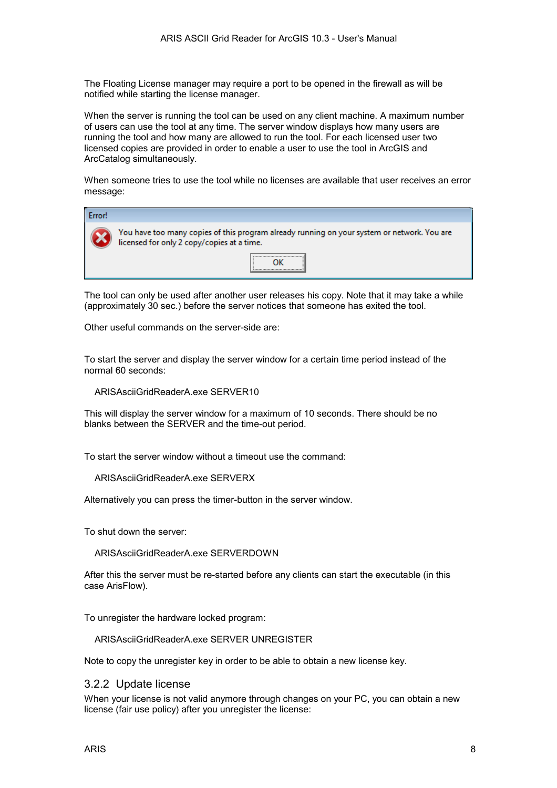The Floating License manager may require a port to be opened in the firewall as will be notified while starting the license manager.

When the server is running the tool can be used on any client machine. A maximum number of users can use the tool at any time. The server window displays how many users are running the tool and how many are allowed to run the tool. For each licensed user two licensed copies are provided in order to enable a user to use the tool in ArcGIS and ArcCatalog simultaneously.

When someone tries to use the tool while no licenses are available that user receives an error message:

| Error! |                                                                                                                                           |  |  |
|--------|-------------------------------------------------------------------------------------------------------------------------------------------|--|--|
|        | You have too many copies of this program already running on your system or network. You are<br>licensed for only 2 copy/copies at a time. |  |  |
|        |                                                                                                                                           |  |  |

The tool can only be used after another user releases his copy. Note that it may take a while (approximately 30 sec.) before the server notices that someone has exited the tool.

Other useful commands on the server-side are:

To start the server and display the server window for a certain time period instead of the normal 60 seconds:

ARISAsciiGridReaderA.exe SERVER10

This will display the server window for a maximum of 10 seconds. There should be no blanks between the SERVER and the time-out period.

To start the server window without a timeout use the command:

ARISAsciiGridReaderA.exe SERVERX

Alternatively you can press the timer-button in the server window.

To shut down the server:

ARISAsciiGridReaderA.exe SERVERDOWN

After this the server must be re-started before any clients can start the executable (in this case ArisFlow).

To unregister the hardware locked program:

ARISAsciiGridReaderA.exe SERVER UNREGISTER

Note to copy the unregister key in order to be able to obtain a new license key.

#### 3.2.2 Update license

When your license is not valid anymore through changes on your PC, you can obtain a new license (fair use policy) after you unregister the license: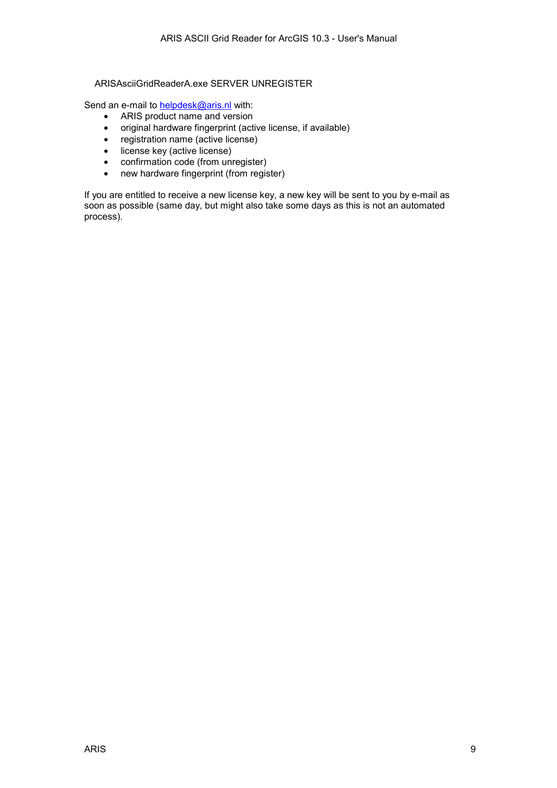#### ARISAsciiGridReaderA.exe SERVER UNREGISTER

Send an e-mail to **helpdesk@aris.nl** with:

- ARIS product name and version
- original hardware fingerprint (active license, if available)
- registration name (active license)
- license key (active license)
- confirmation code (from unregister)
- new hardware fingerprint (from register)

If you are entitled to receive a new license key, a new key will be sent to you by e-mail as soon as possible (same day, but might also take some days as this is not an automated process).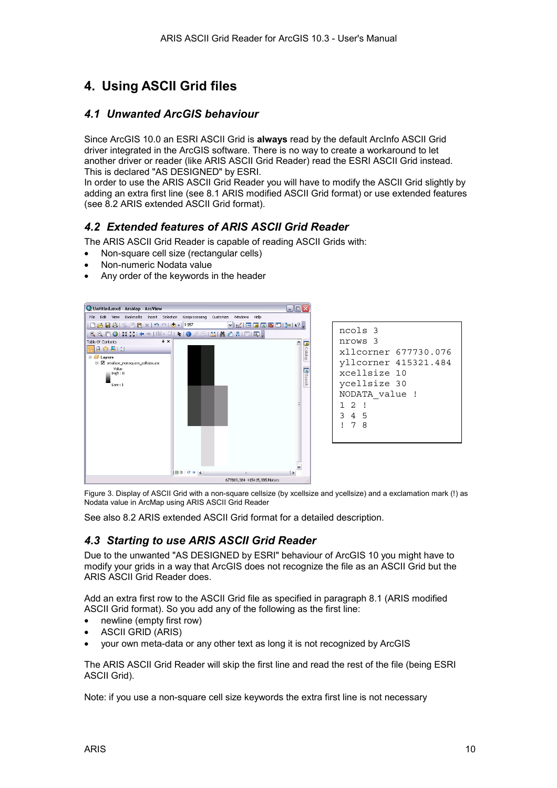# <span id="page-9-0"></span>**4. Using ASCII Grid files**

#### *4.1 Unwanted ArcGIS behaviour*

Since ArcGIS 10.0 an ESRI ASCII Grid is **always** read by the default ArcInfo ASCII Grid driver integrated in the ArcGIS software. There is no way to create a workaround to let another driver or reader (like ARIS ASCII Grid Reader) read the ESRI ASCII Grid instead. This is declared "AS DESIGNED" by ESRI.

In order to use the ARIS ASCII Grid Reader you will have to modify the ASCII Grid slightly by adding an extra first line (see [8.1 ARIS modified ASCII Grid format\)](#page-17-0) or use extended features (see [8.2 ARIS extended ASCII Grid format\)](#page-18-0).

### *4.2 Extended features of ARIS ASCII Grid Reader*

The ARIS ASCII Grid Reader is capable of reading ASCII Grids with:

- Non-square cell size (rectangular cells)
- Non-numeric Nodata value
- Any order of the keywords in the header



```
ncols 3 
nrows 3 
xllcorner 677730.076 
yllcorner 415321.484 
xcellsize 10 
ycellsize 30 
NODATA_value ! 
1 2 ! 
3 4 5 
! 7 8
```
Figure 3. Display of ASCII Grid with a non-square cellsize (by xcellsize and ycellsize) and a exclamation mark (!) as Nodata value in ArcMap using ARIS ASCII Grid Reader

See also [8.2 ARIS extended ASCII Grid format f](#page-18-0)or a detailed description.

### *4.3 Starting to use ARIS ASCII Grid Reader*

Due to the unwanted "AS DESIGNED by ESRI" behaviour of ArcGIS 10 you might have to modify your grids in a way that ArcGIS does not recognize the file as an ASCII Grid but the ARIS ASCII Grid Reader does.

Add an extra first row to the ASCII Grid file as specified in paragraph [8.1 \(ARIS modified](#page-17-0)  [ASCII Grid format\)](#page-17-0). So you add any of the following as the first line:

- newline (empty first row)
- ASCII GRID (ARIS)
- your own meta-data or any other text as long it is not recognized by ArcGIS

The ARIS ASCII Grid Reader will skip the first line and read the rest of the file (being ESRI ASCII Grid).

Note: if you use a non-square cell size keywords the extra first line is not necessary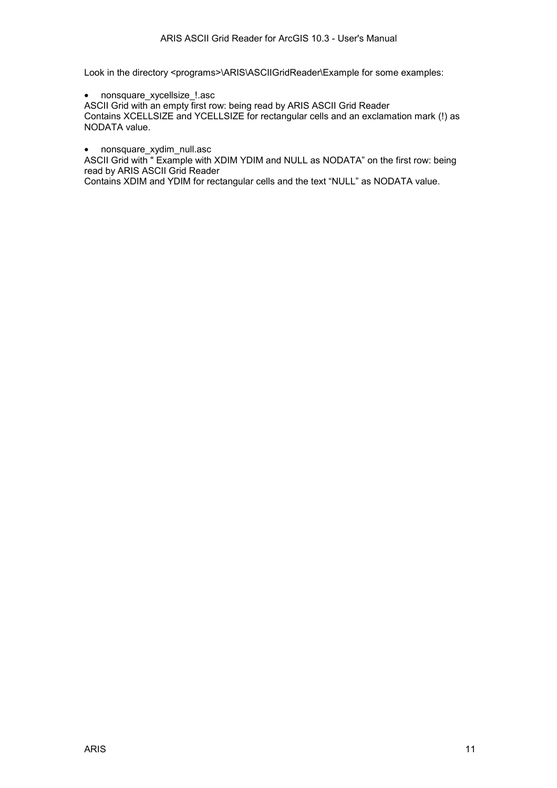Look in the directory <programs>\ARIS\ASCIIGridReader\Example for some examples:

• nonsquare\_xycellsize\_!.asc

ASCII Grid with an empty first row: being read by ARIS ASCII Grid Reader Contains XCELLSIZE and YCELLSIZE for rectangular cells and an exclamation mark (!) as NODATA value.

• nonsquare xydim null.asc

ASCII Grid with " Example with XDIM YDIM and NULL as NODATA" on the first row: being read by ARIS ASCII Grid Reader

Contains XDIM and YDIM for rectangular cells and the text "NULL" as NODATA value.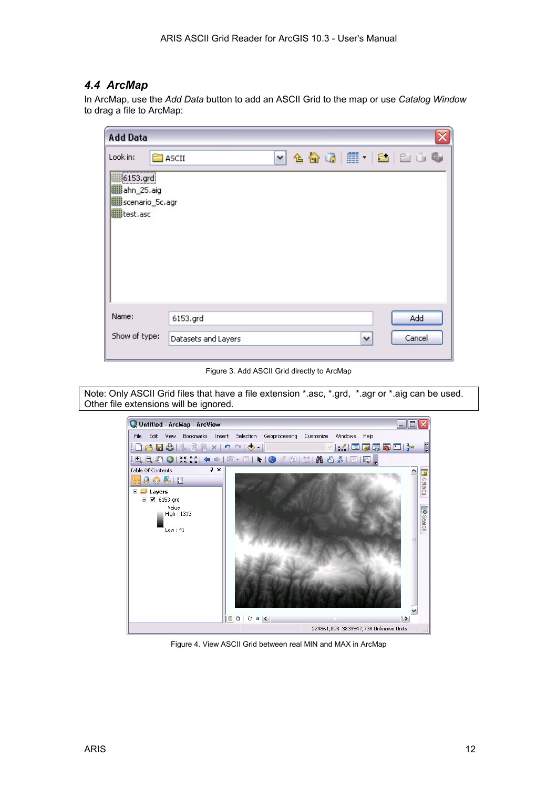### <span id="page-11-0"></span>*4.4 ArcMap*

In ArcMap, use the *Add Data* button to add an ASCII Grid to the map or use *Catalog Window* to drag a file to ArcMap:

| <b>Add Data</b>                                                                                   |                                                                |  |
|---------------------------------------------------------------------------------------------------|----------------------------------------------------------------|--|
| Look in:<br>,,,,,,,,,,,,,,<br><b>翻6153.grd</b><br>图ahn_25.aig<br>scenario_5c.agr<br>IIII test.asc | $\sim$ 4 $\omega$ $\equiv$ $\sim$ 1 $\sim$ 6<br><b>E</b> ASCII |  |
| Name:<br>Show of type:                                                                            | Add<br>6153.grd<br>Cancel<br>Datasets and Layers<br>٧          |  |

Figure 3. Add ASCII Grid directly to ArcMap

Note: Only ASCII Grid files that have a file extension \*.asc, \*.grd, \*.agr or \*.aig can be used. Other file extensions will be ignored.



Figure 4. View ASCII Grid between real MIN and MAX in ArcMap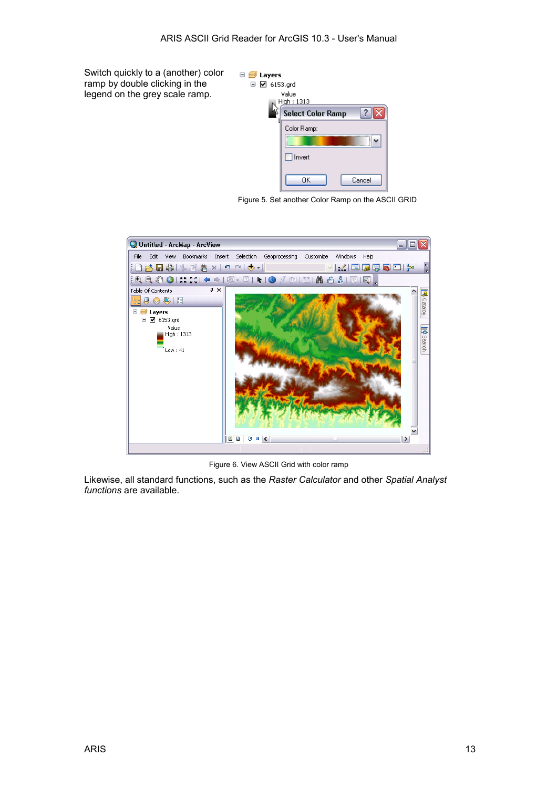Switch quickly to a (another) color ramp by double clicking in the legend on the grey scale ramp.



Figure 5. Set another Color Ramp on the ASCII GRID



Figure 6. View ASCII Grid with color ramp

Likewise, all standard functions, such as the *Raster Calculator* and other *Spatial Analyst functions* are available.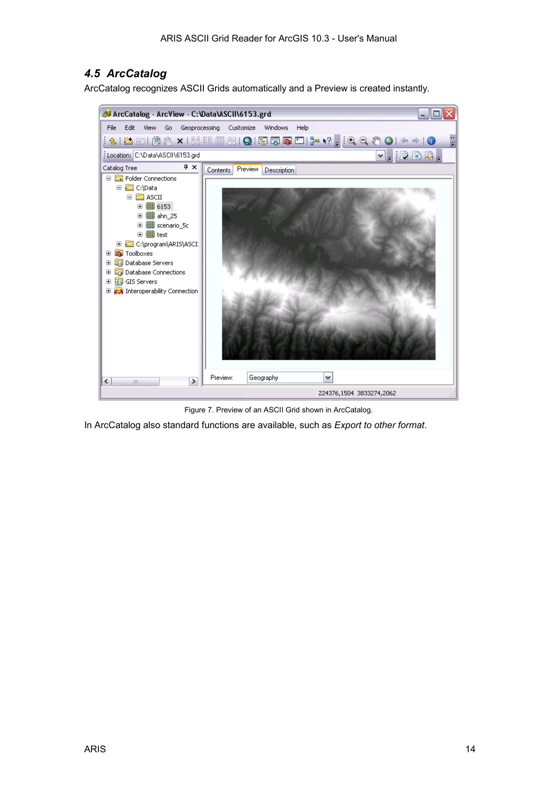### <span id="page-13-0"></span>*4.5 ArcCatalog*

ArcCatalog recognizes ASCII Grids automatically and a Preview is created instantly.



Figure 7. Preview of an ASCII Grid shown in ArcCatalog.

In ArcCatalog also standard functions are available, such as *Export to other format*.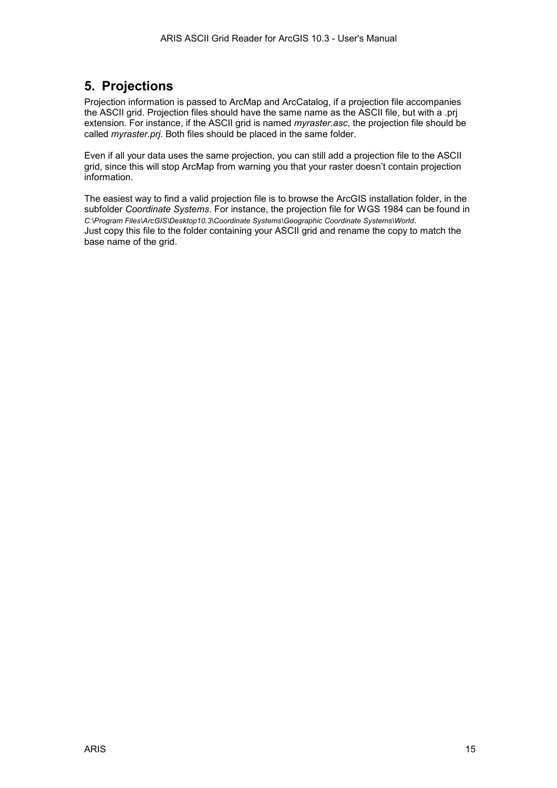## <span id="page-14-0"></span>**5. Projections**

Projection information is passed to ArcMap and ArcCatalog, if a projection file accompanies the ASCII grid. Projection files should have the same name as the ASCII file, but with a .prj extension. For instance, if the ASCII grid is named *myraster.asc*, the projection file should be called *myraster.prj*. Both files should be placed in the same folder.

Even if all your data uses the same projection, you can still add a projection file to the ASCII grid, since this will stop ArcMap from warning you that your raster doesn't contain projection information.

The easiest way to find a valid projection file is to browse the ArcGIS installation folder, in the subfolder *Coordinate Systems*. For instance, the projection file for WGS 1984 can be found in *C:\Program Files\ArcGIS\Desktop10.3\Coordinate Systems\Geographic Coordinate Systems\World*. Just copy this file to the folder containing your ASCII grid and rename the copy to match the base name of the grid.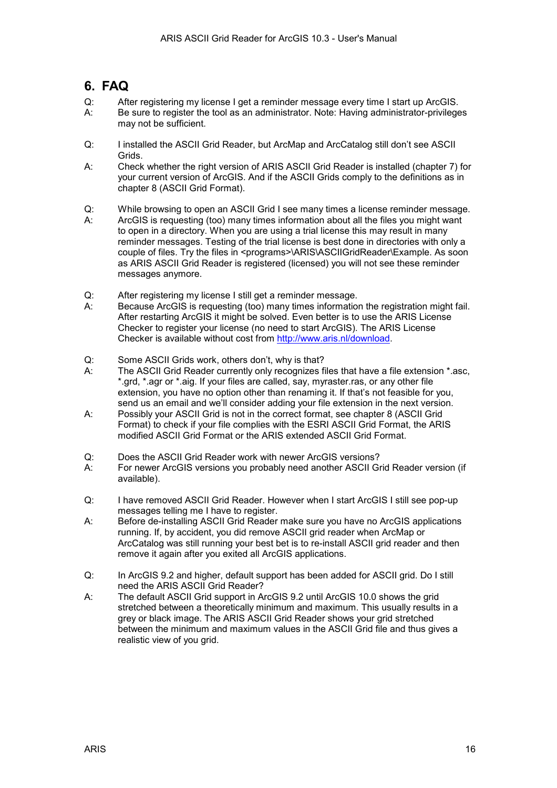## <span id="page-15-0"></span>**6. FAQ**

- Q: After registering my license I get a reminder message every time I start up ArcGIS. A: Be sure to register the tool as an administrator. Note: Having administrator-privileges may not be sufficient.
- Q: I installed the ASCII Grid Reader, but ArcMap and ArcCatalog still don't see ASCII Grids.
- A: Check whether the right version of ARIS ASCII Grid Reader is installed (chapter 7) for your current version of ArcGIS. And if the ASCII Grids comply to the definitions as in chapter [8](#page-17-0) ([ASCII Grid Format\)](#page-17-0).
- Q: While browsing to open an ASCII Grid I see many times a license reminder message.
- A: ArcGIS is requesting (too) many times information about all the files you might want to open in a directory. When you are using a trial license this may result in many reminder messages. Testing of the trial license is best done in directories with only a couple of files. Try the files in <programs>\ARIS\ASCIIGridReader\Example. As soon as ARIS ASCII Grid Reader is registered (licensed) you will not see these reminder messages anymore.
- Q: After registering my license I still get a reminder message.
- A: Because ArcGIS is requesting (too) many times information the registration might fail. After restarting ArcGIS it might be solved. Even better is to use the ARIS License Checker to register your license (no need to start ArcGIS). The ARIS License Checker is available without cost from [http://www.aris.nl/download.](http://www.aris.nl/download)
- Q: Some ASCII Grids work, others don't, why is that?
- A: The ASCII Grid Reader currently only recognizes files that have a file extension \*.asc, \*.grd, \*.agr or \*.aig. If your files are called, say, myraster.ras, or any other file extension, you have no option other than renaming it. If that's not feasible for you, send us an email and we'll consider adding your file extension in the next version.
- A: Possibly your ASCII Grid is not in the correct format, see chapter [8 \(ASCII Grid](#page-17-0)  [Format\)](#page-17-0) to check if your file complies with the ESRI ASCII Grid Format, the ARIS modified ASCII Grid Format or the ARIS extended ASCII Grid Format.
- Q: Does the ASCII Grid Reader work with newer ArcGIS versions?
- A: For newer ArcGIS versions you probably need another ASCII Grid Reader version (if available).
- Q: I have removed ASCII Grid Reader. However when I start ArcGIS I still see pop-up messages telling me I have to register.
- A: Before de-installing ASCII Grid Reader make sure you have no ArcGIS applications running. If, by accident, you did remove ASCII grid reader when ArcMap or ArcCatalog was still running your best bet is to re-install ASCII grid reader and then remove it again after you exited all ArcGIS applications.
- Q: In ArcGIS 9.2 and higher, default support has been added for ASCII grid. Do I still need the ARIS ASCII Grid Reader?
- A: The default ASCII Grid support in ArcGIS 9.2 until ArcGIS 10.0 shows the grid stretched between a theoretically minimum and maximum. This usually results in a grey or black image. The ARIS ASCII Grid Reader shows your grid stretched between the minimum and maximum values in the ASCII Grid file and thus gives a realistic view of you grid.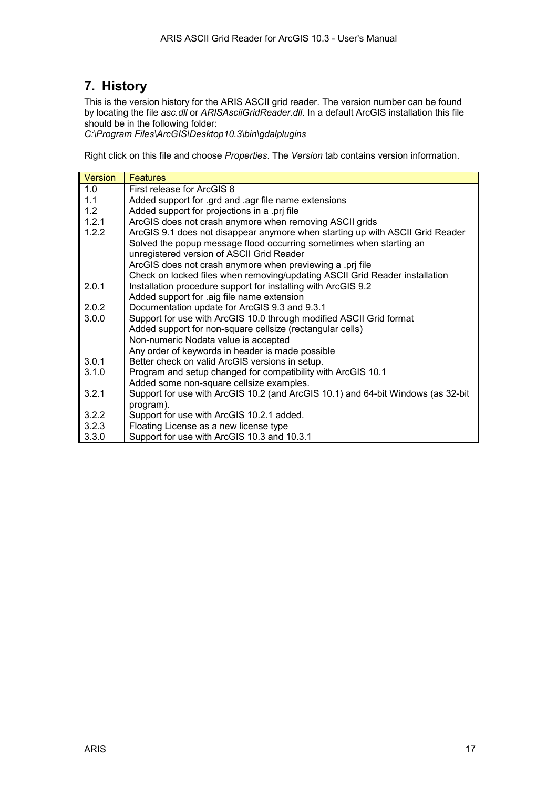## <span id="page-16-0"></span>**7. History**

This is the version history for the ARIS ASCII grid reader. The version number can be found by locating the file *asc.dll* or *ARISAsciiGridReader.dll*. In a default ArcGIS installation this file should be in the following folder:

*C:\Program Files\ArcGIS\Desktop10.3\bin\gdalplugins*

Right click on this file and choose *Properties*. The *Version* tab contains version information.

| Version | <b>Features</b>                                                                  |
|---------|----------------------------------------------------------------------------------|
| 1.0     | First release for ArcGIS 8                                                       |
| 1.1     | Added support for .grd and .agr file name extensions                             |
| 1.2     | Added support for projections in a .prj file                                     |
| 1.2.1   | ArcGIS does not crash anymore when removing ASCII grids                          |
| 1.2.2   | ArcGIS 9.1 does not disappear anymore when starting up with ASCII Grid Reader    |
|         | Solved the popup message flood occurring sometimes when starting an              |
|         | unregistered version of ASCII Grid Reader                                        |
|         | ArcGIS does not crash anymore when previewing a .prj file                        |
|         | Check on locked files when removing/updating ASCII Grid Reader installation      |
| 2.0.1   | Installation procedure support for installing with ArcGIS 9.2                    |
|         | Added support for .aig file name extension                                       |
| 2.0.2   | Documentation update for ArcGIS 9.3 and 9.3.1                                    |
| 3.0.0   | Support for use with ArcGIS 10.0 through modified ASCII Grid format              |
|         | Added support for non-square cellsize (rectangular cells)                        |
|         | Non-numeric Nodata value is accepted                                             |
|         | Any order of keywords in header is made possible                                 |
| 3.0.1   | Better check on valid ArcGIS versions in setup.                                  |
| 3.1.0   | Program and setup changed for compatibility with ArcGIS 10.1                     |
|         | Added some non-square cellsize examples.                                         |
| 3.2.1   | Support for use with ArcGIS 10.2 (and ArcGIS 10.1) and 64-bit Windows (as 32-bit |
|         | program).                                                                        |
| 3.2.2   | Support for use with ArcGIS 10.2.1 added.                                        |
| 3.2.3   | Floating License as a new license type                                           |
| 3.3.0   | Support for use with ArcGIS 10.3 and 10.3.1                                      |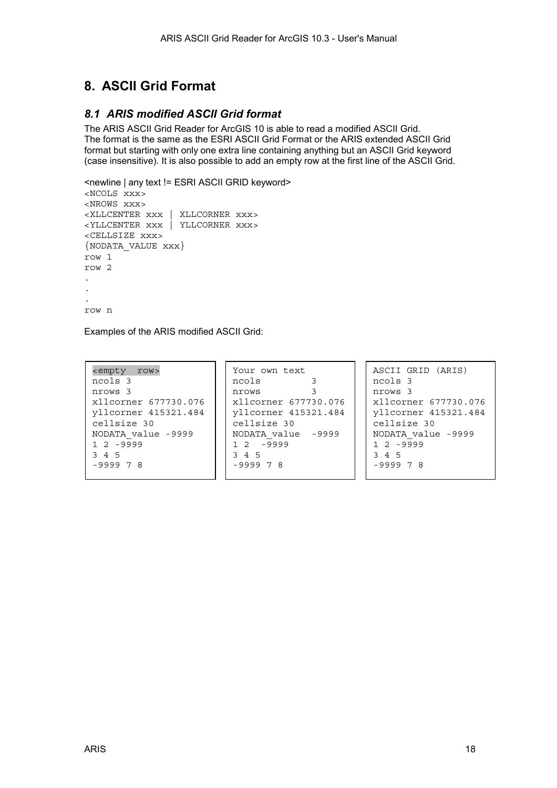# <span id="page-17-0"></span>**8. ASCII Grid Format**

### *8.1 ARIS modified ASCII Grid format*

The ARIS ASCII Grid Reader for ArcGIS 10 is able to read a modified ASCII Grid. The format is the same as the ESRI ASCII Grid Format or the ARIS extended ASCII Grid format but starting with only one extra line containing anything but an ASCII Grid keyword (case insensitive). It is also possible to add an empty row at the first line of the ASCII Grid.

```
<newline | any text != ESRI ASCII GRID keyword> 
<NCOLS xxx> 
<NROWS xxx> 
<XLLCENTER xxx | XLLCORNER xxx> 
<YLLCENTER xxx | YLLCORNER xxx> 
<CELLSIZE xxx> 
{NODATA_VALUE xxx} 
row 1 
row 2 
. 
. 
. 
row n
```
Examples of the ARIS modified ASCII Grid:

| <empty row=""></empty> | Your own text        | ASCII GRID (ARIS)    |
|------------------------|----------------------|----------------------|
| ncols 3                | ncols                | ncols 3              |
| nrows 3                | nrows                | nrows 3              |
| xllcorner 677730.076   | xllcorner 677730.076 | xllcorner 677730.076 |
| vllcorner 415321.484   | yllcorner 415321.484 | yllcorner 415321.484 |
| cellsize 30            | cellsize 30          | cellsize 30          |
| NODATA value -9999     | NODATA value -9999   | NODATA value -9999   |
| $1, 2, -9999$          | $12 - 9999$          | $1, 2, -9999$        |
| 3 4 5                  | 3 4 5                | 3 4 5                |
| $-999978$              | $-999978$            | $-999978$            |
|                        |                      |                      |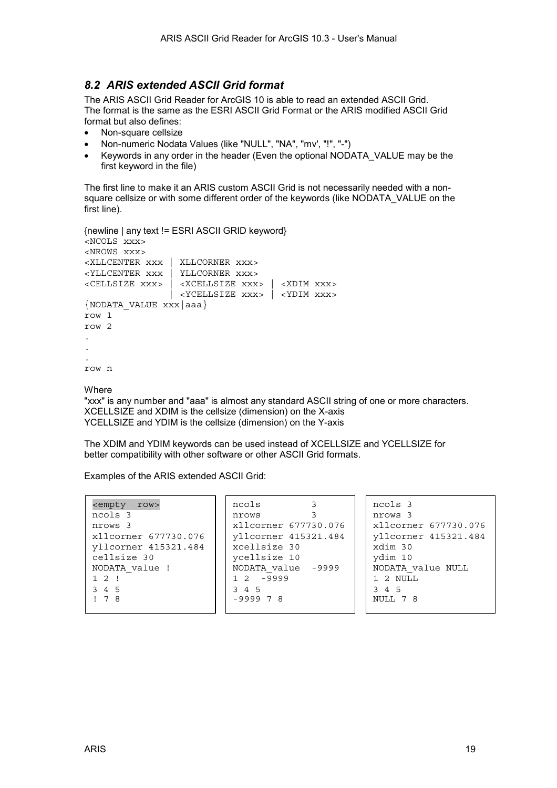#### <span id="page-18-0"></span>*8.2 ARIS extended ASCII Grid format*

The ARIS ASCII Grid Reader for ArcGIS 10 is able to read an extended ASCII Grid. The format is the same as the [ESRI ASCII Grid Format o](#page-19-0)r the [ARIS modified ASCII Grid](#page-17-0)  [format](#page-17-0) but also defines:

- Non-square cellsize
- Non-numeric Nodata Values (like "NULL", "NA", "mv', "!", "-")
- Keywords in any order in the header (Even the optional NODATA\_VALUE may be the first keyword in the file)

The first line to make it an ARIS custom ASCII Grid is not necessarily needed with a nonsquare cellsize or with some different order of the keywords (like NODATA\_VALUE on the first line).

```
{newline | any text != ESRI ASCII GRID keyword} 
<NCOLS xxx> 
<NROWS xxx> 
<XLLCENTER xxx | XLLCORNER xxx> 
<YLLCENTER xxx | YLLCORNER xxx> 
<CELLSIZE xxx> | <XCELLSIZE xxx> | <XDIM xxx> 
                 | <YCELLSIZE xxx> | <YDIM xxx>
{NODATA_VALUE xxx|aaa} 
row 1 
row 2 
. 
. 
. 
row n
```
**Where** 

"xxx" is any number and "aaa" is almost any standard ASCII string of one or more characters. XCELLSIZE and XDIM is the cellsize (dimension) on the X-axis YCELLSIZE and YDIM is the cellsize (dimension) on the Y-axis

The XDIM and YDIM keywords can be used instead of XCELLSIZE and YCELLSIZE for better compatibility with other software or other ASCII Grid formats.

Examples of the ARIS extended ASCII Grid:

| <empty row=""></empty> | ncols              |                      | ncols 3              |
|------------------------|--------------------|----------------------|----------------------|
| ncols 3                | nrows              |                      | nrows 3              |
| nrows 3                |                    | xllcorner 677730.076 | xllcorner 677730.076 |
| xllcorner 677730.076   |                    | yllcorner 415321.484 | yllcorner 415321.484 |
| yllcorner 415321.484   | xcellsize 30       |                      | xdim 30              |
| cellsize 30            | ycellsize 10       |                      | ydim 10              |
| NODATA value !         | NODATA value -9999 |                      | NODATA value NULL    |
| 12!                    | $12 - 9999$        |                      | 1 2 NULL             |
| 3 4 5                  | 3 4 5              |                      | 3 4 5                |
| 178                    | $-999978$          |                      | NULL 7 8             |
|                        |                    |                      |                      |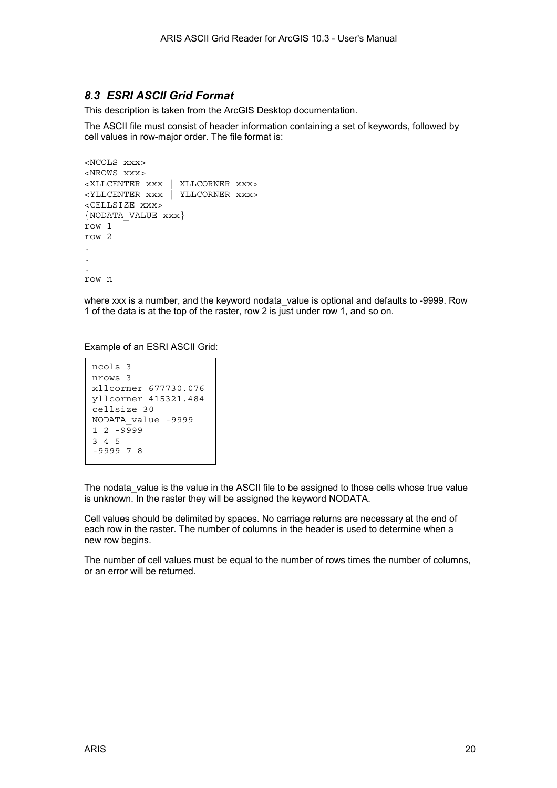#### <span id="page-19-0"></span>*8.3 ESRI ASCII Grid Format*

This description is taken from the ArcGIS Desktop documentation.

The ASCII file must consist of header information containing a set of keywords, followed by cell values in row-major order. The file format is:

```
<NCOLS xxx> 
<NROWS xxx> 
<XLLCENTER xxx | XLLCORNER xxx> 
<YLLCENTER xxx | YLLCORNER xxx> 
<CELLSIZE xxx> 
{NODATA_VALUE xxx} 
row 1 
row 2 
. 
. 
. 
row n
```
where xxx is a number, and the keyword nodata value is optional and defaults to -9999. Row 1 of the data is at the top of the raster, row 2 is just under row 1, and so on.

Example of an ESRI ASCII Grid:

```
ncols 3 
nrows 3 
xllcorner 677730.076 
yllcorner 415321.484 
cellsize 30 
NODATA_value -9999 
1 2 -9999 
3 4 5 
-9999 7 8
```
The nodata value is the value in the ASCII file to be assigned to those cells whose true value is unknown. In the raster they will be assigned the keyword NODATA.

Cell values should be delimited by spaces. No carriage returns are necessary at the end of each row in the raster. The number of columns in the header is used to determine when a new row begins.

The number of cell values must be equal to the number of rows times the number of columns, or an error will be returned.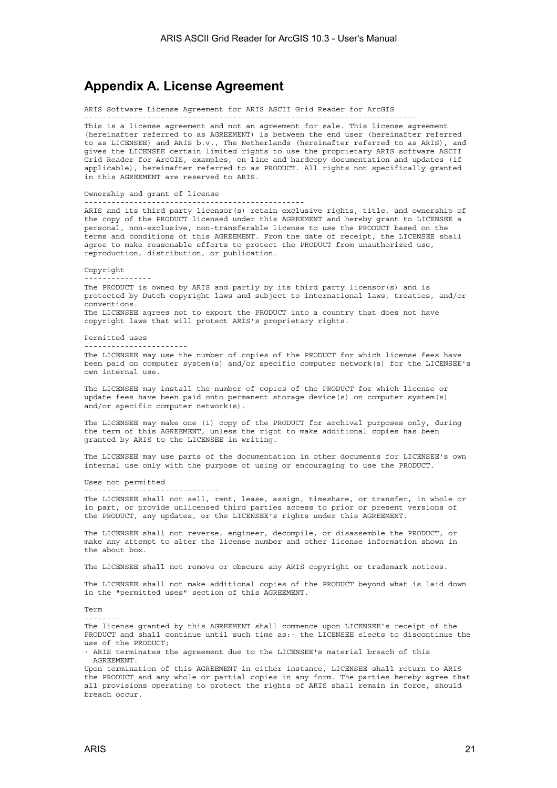### <span id="page-20-0"></span>**Appendix A. License Agreement**

ARIS Software License Agreement for ARIS ASCII Grid Reader for ArcGIS

-------------------------------------------------------------------------- This is a license agreement and not an agreement for sale. This license agreement (hereinafter referred to as AGREEMENT) is between the end user (hereinafter referred to as LICENSEE) and ARIS b.v., The Netherlands (hereinafter referred to as ARIS), and gives the LICENSEE certain limited rights to use the proprietary ARIS software ASCII Grid Reader for ArcGIS, examples, on-line and hardcopy documentation and updates (if applicable), hereinafter referred to as PRODUCT. All rights not specifically granted in this AGREEMENT are reserved to ARIS.

Ownership and grant of license

-------------------------------------------------

------------------------------

ARIS and its third party licensor(s) retain exclusive rights, title, and ownership of the copy of the PRODUCT licensed under this AGREEMENT and hereby grant to LICENSEE a personal, non-exclusive, non-transferable license to use the PRODUCT based on the terms and conditions of this AGREEMENT. From the date of receipt, the LICENSEE shall agree to make reasonable efforts to protect the PRODUCT from unauthorized use, reproduction, distribution, or publication.

Copyright

The PRODUCT is owned by ARIS and partly by its third party licensor(s) and is protected by Dutch copyright laws and subject to international laws, treaties, and/or conventions. The LICENSEE agrees not to export the PRODUCT into a country that does not have copyright laws that will protect ARIS's proprietary rights.

Permitted uses

-----------------------

---------------

The LICENSEE may use the number of copies of the PRODUCT for which license fees have been paid on computer system(s) and/or specific computer network(s) for the LICENSEE's own internal use.

The LICENSEE may install the number of copies of the PRODUCT for which license or update fees have been paid onto permanent storage device(s) on computer system(s) and/or specific computer network(s).

The LICENSEE may make one (1) copy of the PRODUCT for archival purposes only, during the term of this AGREEMENT, unless the right to make additional copies has been granted by ARIS to the LICENSEE in writing.

The LICENSEE may use parts of the documentation in other documents for LICENSEE's own internal use only with the purpose of using or encouraging to use the PRODUCT.

Uses not permitted

The LICENSEE shall not sell, rent, lease, assign, timeshare, or transfer, in whole or in part, or provide unlicensed third parties access to prior or present versions of the PRODUCT, any updates, or the LICENSEE's rights under this AGREEMENT.

The LICENSEE shall not reverse, engineer, decompile, or disassemble the PRODUCT, or make any attempt to alter the license number and other license information shown in the about box.

The LICENSEE shall not remove or obscure any ARIS copyright or trademark notices.

The LICENSEE shall not make additional copies of the PRODUCT beyond what is laid down in the "permitted uses" section of this AGREEMENT.

Term

--------

The license granted by this AGREEMENT shall commence upon LICENSEE's receipt of the PRODUCT and shall continue until such time as:· the LICENSEE elects to discontinue the use of the PRODUCT;

· ARIS terminates the agreement due to the LICENSEE's material breach of this AGREEMENT.

Upon termination of this AGREEMENT in either instance, LICENSEE shall return to ARIS the PRODUCT and any whole or partial copies in any form. The parties hereby agree that all provisions operating to protect the rights of ARIS shall remain in force, should breach occur.